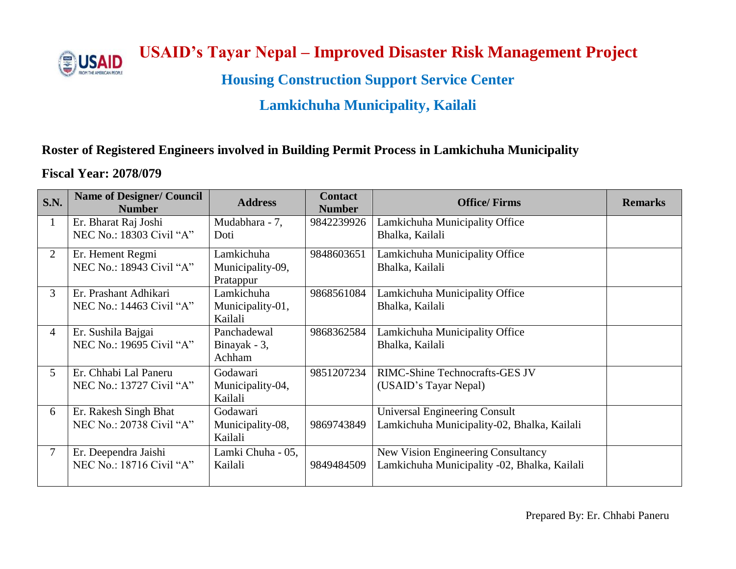

 **USAID's Tayar Nepal – Improved Disaster Risk Management Project**

**Housing Construction Support Service Center**

# **Lamkichuha Municipality, Kailali**

## **Roster of Registered Engineers involved in Building Permit Process in Lamkichuha Municipality**

#### **Fiscal Year: 2078/079**

| S.N.           | <b>Name of Designer/ Council</b><br><b>Number</b> | <b>Address</b>    | <b>Contact</b><br><b>Number</b> | <b>Office/Firms</b>                          | <b>Remarks</b> |
|----------------|---------------------------------------------------|-------------------|---------------------------------|----------------------------------------------|----------------|
| $\mathbf{1}$   | Er. Bharat Raj Joshi                              | Mudabhara - 7,    | 9842239926                      | Lamkichuha Municipality Office               |                |
|                | NEC No.: 18303 Civil "A"                          | Doti              |                                 | Bhalka, Kailali                              |                |
| $\overline{2}$ | Er. Hement Regmi                                  | Lamkichuha        | 9848603651                      | Lamkichuha Municipality Office               |                |
|                | NEC No.: 18943 Civil "A"                          | Municipality-09,  |                                 | Bhalka, Kailali                              |                |
|                |                                                   | Pratappur         |                                 |                                              |                |
| $\mathfrak{Z}$ | Er. Prashant Adhikari                             | Lamkichuha        | 9868561084                      | Lamkichuha Municipality Office               |                |
|                | NEC No.: 14463 Civil "A"                          | Municipality-01,  |                                 | Bhalka, Kailali                              |                |
|                |                                                   | Kailali           |                                 |                                              |                |
| $\overline{4}$ | Er. Sushila Bajgai                                | Panchadewal       | 9868362584                      | Lamkichuha Municipality Office               |                |
|                | NEC No.: 19695 Civil "A"                          | Binayak - 3,      |                                 | Bhalka, Kailali                              |                |
|                |                                                   | Achham            |                                 |                                              |                |
| $5^{\circ}$    | Er. Chhabi Lal Paneru                             | Godawari          | 9851207234                      | RIMC-Shine Technocrafts-GES JV               |                |
|                | NEC No.: 13727 Civil "A"                          | Municipality-04,  |                                 | (USAID's Tayar Nepal)                        |                |
|                |                                                   | Kailali           |                                 |                                              |                |
| 6              | Er. Rakesh Singh Bhat                             | Godawari          |                                 | <b>Universal Engineering Consult</b>         |                |
|                | NEC No.: 20738 Civil "A"                          | Municipality-08,  | 9869743849                      | Lamkichuha Municipality-02, Bhalka, Kailali  |                |
|                |                                                   | Kailali           |                                 |                                              |                |
| $\tau$         | Er. Deependra Jaishi                              | Lamki Chuha - 05, |                                 | New Vision Engineering Consultancy           |                |
|                | NEC No.: 18716 Civil "A"                          | Kailali           | 9849484509                      | Lamkichuha Municipality -02, Bhalka, Kailali |                |
|                |                                                   |                   |                                 |                                              |                |